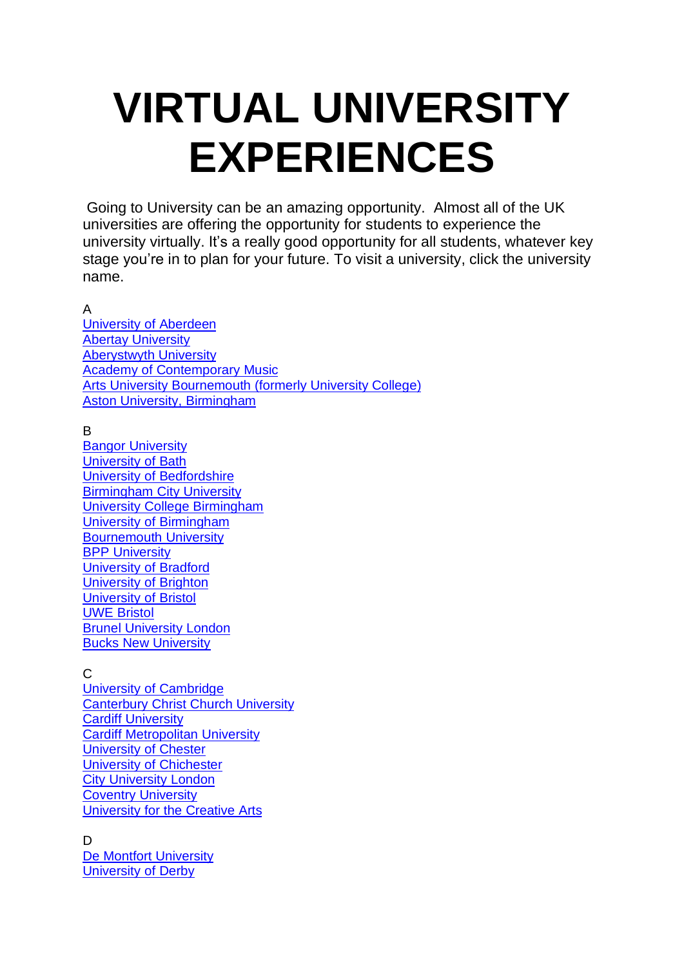## **VIRTUAL UNIVERSITY EXPERIENCES**

Going to University can be an amazing opportunity. Almost all of the UK universities are offering the opportunity for students to experience the university virtually. It's a really good opportunity for all students, whatever key stage you're in to plan for your future. To visit a university, click the university name.

## A

[University](https://www.facebook.com/universityofaberdeen/videos/2217398538317242/) of Aberdeen Abertay [University](https://www.youtube.com/user/abertayTV) [Aberystwyth](https://www.aber.ac.uk/en/virtual-tour/) University Academy of [Contemporary](http://www.acm.ac.uk/facilities/) Music Arts University [Bournemouth](https://www.youtube.com/watch?v=qsiIiy9L-gw) (formerly University College) Aston University, [Birmingham](https://www.youtube.com/watch?v=BZGrXEUoSGc)

## B

Bangor [University](https://www.bangor.ac.uk/virtual-experience/) [University](https://www.bath.ac.uk/topics/undergraduate-virtual-experience/) of Bath University of [Bedfordshire](https://www.beds.ac.uk/open-days/) [Birmingham](https://www.youtube.com/watch?v=jFHijpdG2dI) City University University College [Birmingham](https://www.ucb.ac.uk/our-courses/undergraduate/open-days/virtual-open-day.aspx?utm_source=ucas&utm_medium=link&utm_campaign=virtual%20open%20days&utm_term=virtual%20open%20days&utm_content=virtual%20open%20days) University of [Birmingham](https://www.birmingham.ac.uk/study/birmingham/campus/explore-our-virtual-campus.aspx) [Bournemouth](https://www1.bournemouth.ac.uk/sites/all/themes/bournemouth/virtual-bu/) University **BPP [University](https://www.google.co.uk/maps/place/BPP+Business+School/%4051.514104%2c-0.08068%2c3a%2c90y%2c20h%2c90t/data=%213m5%211e1%213m3%211sjoazQ1aSYxgAAAAGOzYHsQ%212e0%213e2%214m2%213m1%211s0x48761b4a76a9e02d:0xc8106eb55fd1b1be%216m1%211e1)** [University](http://www.brad.ac.uk/virtual-experience/) of Bradford [University](https://www.brighton.ac.uk/studying-here/visit-us/explore-online/index.aspx?utm_source=ucas&utm_medium=open_day_listing&utm_content=virtual_tours_page&utm_campaign=ug_2020_online_events) of Brighton [University](http://virtualtours.online-event.co/bristoluni/index.html) of Bristol UWE [Bristol](http://www1.uwe.ac.uk/aboutus/discoveruwebristol) Brunel [University](https://www.youtube.com/playlist?list=PL0EdKd9GP9-jILCwsixF6bf9aOEy7A28z) London Bucks New [University](https://bucks.ac.uk/virtualcampus)

## $\mathsf{C}$

University of [Cambridge](https://www.virtualtour.study.cam.ac.uk/) [Canterbury](http://www.canterbury.ac.uk/virtual-open-day/index.html) Christ Church University Cardiff [University](http://virtualtour.cardiff.ac.uk/) Cardiff [Metropolitan](http://www.cardiffmet.ac.uk/about/virtualtours/Pages/default.aspx) University [University](https://www.youtube.com/user/uochester) of Chester University of [Chichester](http://www.pan3sixty.co.uk/virtual_tours/university-of-chichester/chichester-campus/university-house-gardens) City [University](https://www.youtube.com/watch?v=abgWUUXlAc0) London Coventry [University](http://www.coventry.ac.uk/study-at-coventry/visit-our-open-days/take-a-virtual-tour/) [University](http://www.uca.ac.uk/virtual-tour/) for the Creative Arts

D De Montfort [University](http://virtualopenday.dmu.ac.uk/) [University](https://www.derby.ac.uk/virtual-campus/) of Derby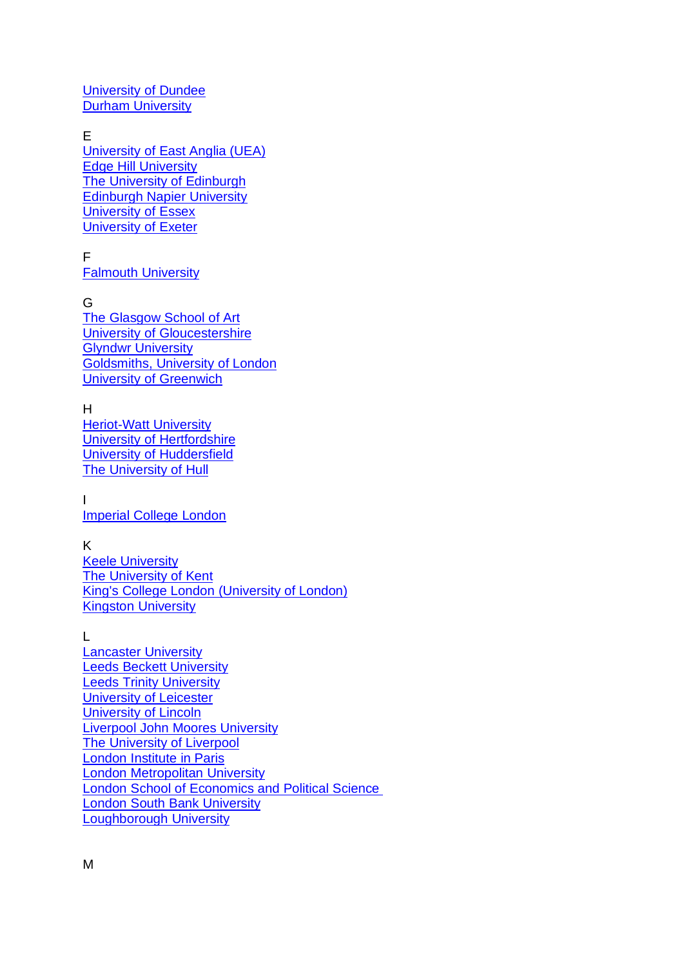[University](http://apply.dundee.ac.uk/virtualvisit/?utm_source=UCAS&utm_medium=website_link&utm_content=Virtual_tour&utm_campaign=Undergraduate) of Dundee **Durham [University](https://www.dur.ac.uk/multimedia/)** 

E

[University](https://www.uea.ac.uk/study/undergraduate) of East Anglia (UEA) Edge Hill [University](https://www.youtube.com/watch?v=RT4751ZPxlI) The University of [Edinburgh](https://www.youtube.com/user/EdinburghUniversity) [Edinburgh](https://www.youtube.com/watch?v=n9BvsbGkjKA&feature=share&list=PLAgJbihFqnMBApZxMzX0jJxi-RrGFwivU) Napier University [University](https://www.essex.ac.uk/life/virtual/colchester.aspx) of Essex [University](https://www.exeter.ac.uk/visit/campuses/) of Exeter

F

Falmouth [University](http://360.falmouth.ac.uk/#s=pano10)

G The [Glasgow](https://vimeo.com/channels/523851) School of Art University of [Gloucestershire](https://virtualtours.glos.ac.uk/) **Glyndwr [University](https://www.glyndwr.ac.uk/en/VirtualTours/)** [Goldsmiths,](https://www.youtube.com/watch?v=yaIZktSuIQY) University of London University of [Greenwich](https://www.youtube.com/user/UniversityGreenwich)

H [Heriot-Watt](https://www.hw.ac.uk/virtual-tours/) University University of [Hertfordshire](https://www.herts.ac.uk/study/open-days/virtual-tour) University of [Huddersfield](https://www.hud.ac.uk/uni-life/our-campus/?utm_source=ucas&utm_medium=ucasvirtualtour&utm_campaign=ucasvirtualtour) The [University](https://virtualtour.hull.ac.uk/) of Hull

I [Imperial](https://360-visit.imperial.ac.uk/) College London

K

Keele [University](https://www.keele.ac.uk/discover/campuslife/) The [University](https://www.youtube.com/user/UniversityofKent) of Kent King's College London [\(University](http://www.kcl.ac.uk/study/campus/index.aspx) of London) Kingston [University](http://www.kingston.ac.uk/virtual-tour/)

L [Lancaster](https://www.lancaster.ac.uk/virtual-tour/) University Leeds Beckett [University](http://www.leedsbeckett.ac.uk/assets/virtualcampus/) Leeds Trinity [University](http://www.sphericalimages.com/leeds-trinity-university-virtual-tour/) [University](https://www.youtube.com/channel/UCkeCxFOMe2flWaZwQYt1Npg) of Leicester [University](https://www.lincoln.ac.uk/vod/) of Lincoln Liverpool John Moores [University](https://www.youtube.com/watch?v=YlR34cSAVH0) The [University](https://www.liv.ac.uk/virtual-open-day/) of Liverpool London [Institute](https://www.youtube.com/watch?v=eIE4GtgP0ig) in Paris **Condon [Metropolitan](http://www.londonmet.ac.uk/why-london-met/films/) University** London School of [Economics](http://www.lse.ac.uk/virtualopenday/) and Political Science London South Bank [University](http://www.lsbu.ac.uk/virtual-tours) [Loughborough](https://www.lboro.ac.uk/virtualtour/) University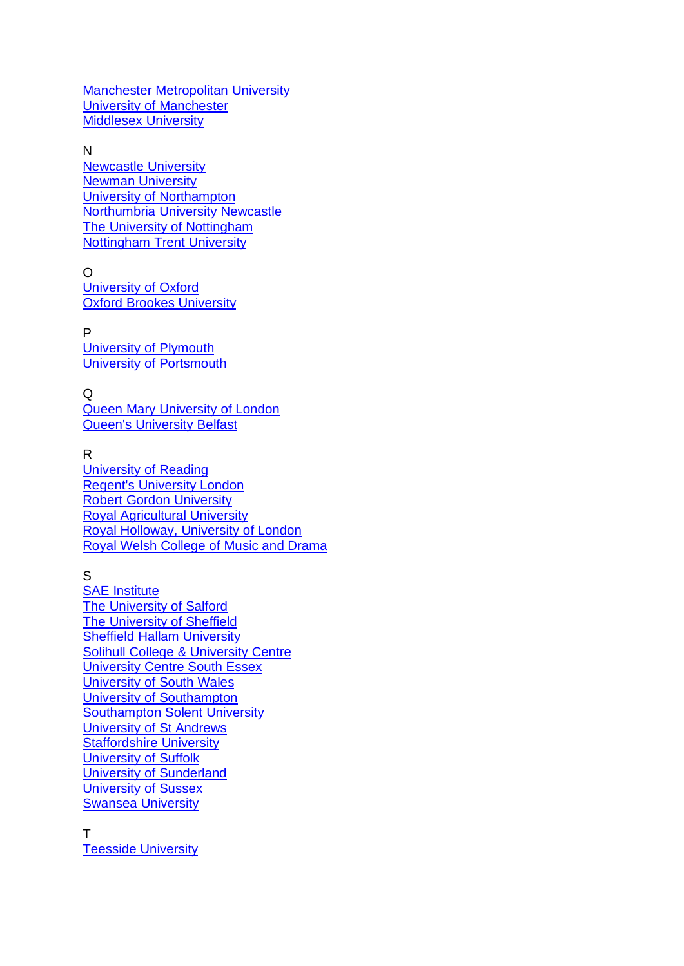Manchester [Metropolitan](https://www.mmu.ac.uk/virtualtour/) University University of [Manchester](https://www.youtube.com/watch?v=MUG563QTIHk) [Middlesex](https://www.mdx.ac.uk/get-in-touch/virtual-tour) University

N

[Newcastle](http://www.ncl.ac.uk/tour) University **Newman [University](https://www.newman.ac.uk/study/open-days/)** University of [Northampton](https://tour.northampton.ac.uk/) [Northumbria](https://www.northumbria.ac.uk/study-at-northumbria/visit-northumbria/northumbria-virtual-tour/) University Newcastle The University of [Nottingham](http://nottingham.ac.uk/virtualnottingham/) [Nottingham](https://virtualtour.ntu.ac.uk/) Trent University

O [University](https://www.ox.ac.uk/admissions/undergraduate/colleges/college-virtual-tours?wssl=1) of Oxford

Oxford Brookes [University](https://www.brookes.ac.uk/virtual-tour/)

P [University](https://www.plymouth.ac.uk/about-us/plymouth-on-demand) of Plymouth University of [Portsmouth](https://www.port.ac.uk/study/virtual-experiences/virtual-portsmouth-experience?utm_campaign=ug2021_uop&utm_medium=website&utm_source=ucas&utm_content=university_virtual_tours)

Q Queen Mary [University](https://www.qmul.ac.uk/undergraduate/openday/campustours/) of London Queen's [University](https://www.youtube.com/watch?v=G3Cf1GxaOaE&list=TLSyMKUkR8JkU6kxr57TYRH0HNWIgk0GDu) Belfast

R

[University](https://ad.doubleclick.net/ddm/clk/467919750%3b273237779%3be) of Reading Regent's [University](https://www.youtube.com/user/RegentsCollege) London Robert Gordon [University](http://www.rgu.ac.uk/student-life/virtual-tours/virtual-tour/) Royal [Agricultural](https://www.youtube.com/watch?v=gg94LlAoOcw) University Royal Holloway, [University](https://www.royalholloway.ac.uk/aboutus/ourcampus/virtualtour/home.aspx) of London Royal Welsh [College](http://www.vp360.co.uk/RWCMD/index_standalone.html) of Music and Drama

S

SAE [Institute](https://www.sae.edu/gbr/360-campus-tours) The [University](https://virtualtour.salford.ac.uk/?utm_source=UCAS&utm_medium=Referral&utm_campaign=VirtualTour) of Salford The [University](https://www.youtube.com/watch?v=wPy6bglzE_k) of Sheffield Sheffield Hallam [University](https://www.shu.ac.uk/visit-us) Solihull College & [University](http://www.solihull.ac.uk/about-us/look-inside/) Centre [University](https://www.youtube.com/watch?v=BYrX0O85dm4&feature=youtu.be) Centre South Essex [University](http://www.southwales.ac.uk/virtualtours/) of South Wales University of [Southampton](http://virtualopenday.southampton.ac.uk/) [Southampton](https://www.solent.ac.uk/virtual-tour) Solent University [University](https://www.st-andrews.ac.uk/study/) of St Andrews [Staffordshire](https://www.youtube.com/user/staffsuni) University [University](https://www.uos.ac.uk/content/ipswich-main-campus) of Suffolk University of [Sunderland](https://www.sunderland.ac.uk/open-days/virtual-campus-tour/) [University](https://www.sussex.ac.uk/study/visit-us/virtual-tour/) of Sussex Swansea [University](https://www.swansea.ac.uk/virtual-tour-stand-alone/)

T Teesside [University](https://www.youtube.com/user/UniversityofTeesside)